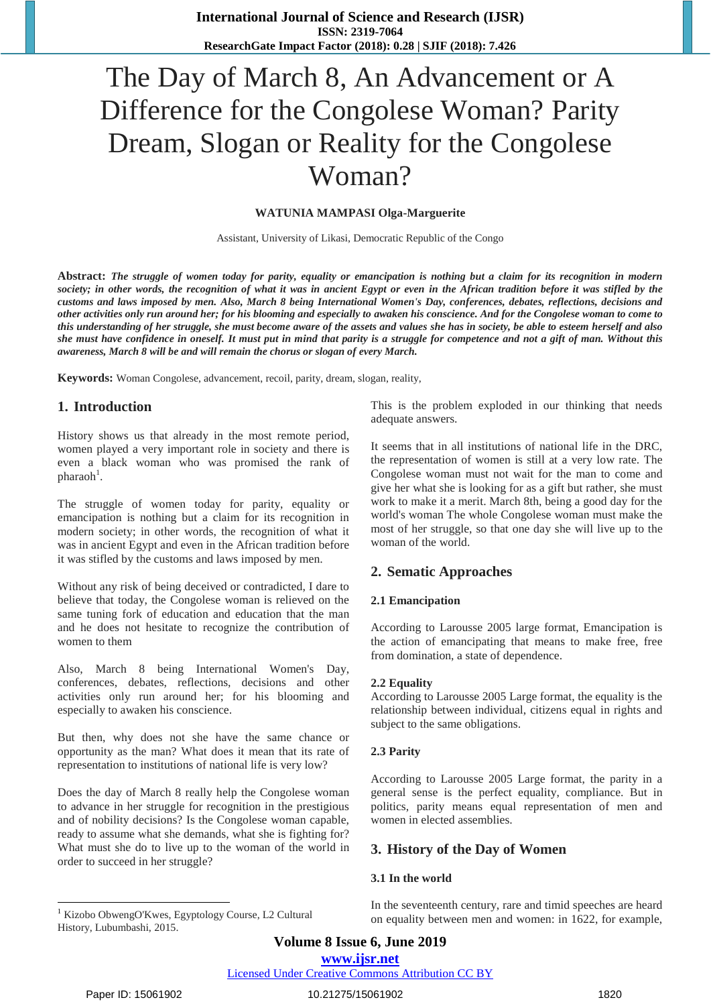# The Day of March 8, An Advancement or A Difference for the Congolese Woman? Parity Dream, Slogan or Reality for the Congolese Woman?

#### **WATUNIA MAMPASI Olga-Marguerite**

Assistant, University of Likasi, Democratic Republic of the Congo

**Abstract:** *The struggle of women today for parity, equality or emancipation is nothing but a claim for its recognition in modern society; in other words, the recognition of what it was in ancient Egypt or even in the African tradition before it was stifled by the customs and laws imposed by men. Also, March 8 being International Women's Day, conferences, debates, reflections, decisions and other activities only run around her; for his blooming and especially to awaken his conscience. And for the Congolese woman to come to this understanding of her struggle, she must become aware of the assets and values she has in society, be able to esteem herself and also she must have confidence in oneself. It must put in mind that parity is a struggle for competence and not a gift of man. Without this awareness, March 8 will be and will remain the chorus or slogan of every March.*

**Keywords:** Woman Congolese, advancement, recoil, parity, dream, slogan, reality,

## **1. Introduction**

History shows us that already in the most remote period, women played a very important role in society and there is even a black woman who was promised the rank of pharaoh<sup>1</sup>.

The struggle of women today for parity, equality or emancipation is nothing but a claim for its recognition in modern society; in other words, the recognition of what it was in ancient Egypt and even in the African tradition before it was stifled by the customs and laws imposed by men.

Without any risk of being deceived or contradicted, I dare to believe that today, the Congolese woman is relieved on the same tuning fork of education and education that the man and he does not hesitate to recognize the contribution of women to them

Also, March 8 being International Women's Day, conferences, debates, reflections, decisions and other activities only run around her; for his blooming and especially to awaken his conscience.

But then, why does not she have the same chance or opportunity as the man? What does it mean that its rate of representation to institutions of national life is very low?

Does the day of March 8 really help the Congolese woman to advance in her struggle for recognition in the prestigious and of nobility decisions? Is the Congolese woman capable, ready to assume what she demands, what she is fighting for? What must she do to live up to the woman of the world in order to succeed in her struggle?

This is the problem exploded in our thinking that needs adequate answers.

It seems that in all institutions of national life in the DRC, the representation of women is still at a very low rate. The Congolese woman must not wait for the man to come and give her what she is looking for as a gift but rather, she must work to make it a merit. March 8th, being a good day for the world's woman The whole Congolese woman must make the most of her struggle, so that one day she will live up to the woman of the world.

## **2. Sematic Approaches**

#### **2.1 Emancipation**

According to Larousse 2005 large format, Emancipation is the action of emancipating that means to make free, free from domination, a state of dependence.

#### **2.2 Equality**

According to Larousse 2005 Large format, the equality is the relationship between individual, citizens equal in rights and subject to the same obligations.

#### **2.3 Parity**

According to Larousse 2005 Large format, the parity in a general sense is the perfect equality, compliance. But in politics, parity means equal representation of men and women in elected assemblies.

## **3. History of the Day of Women**

#### **3.1 In the world**

<sup>1</sup> Kizobo ObwengO'Kwes, Egyptology Course, L2 Cultural History, Lubumbashi, 2015.

In the seventeenth century, rare and timid speeches are heard on equality between men and women: in 1622, for example,

 $\overline{a}$ 

Licensed Under Creative Commons Attribution CC BY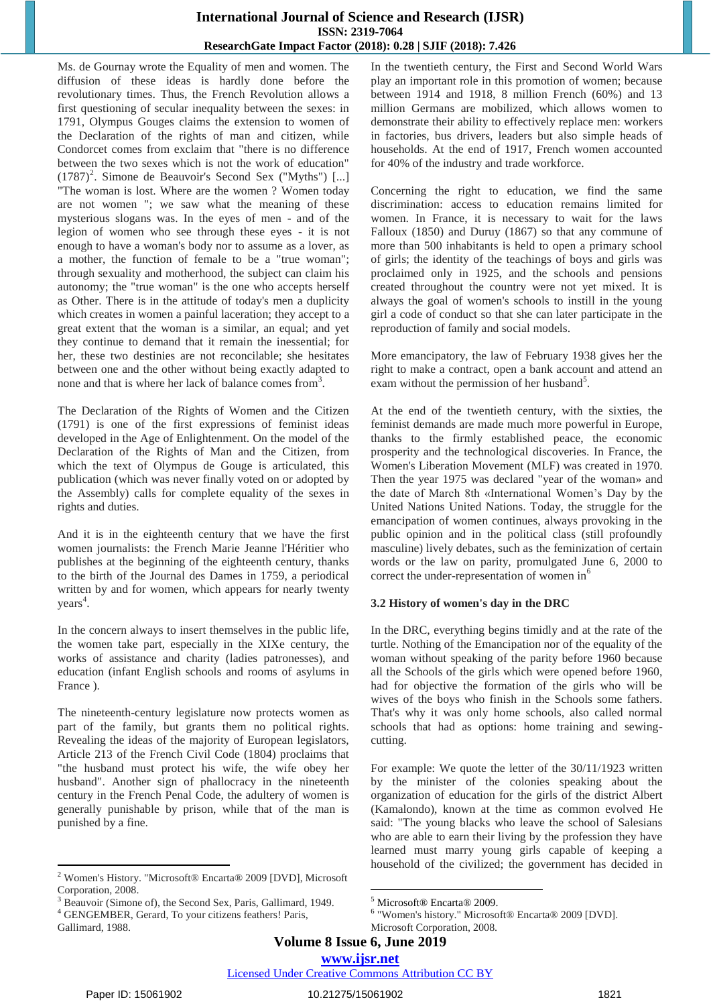Ms. de Gournay wrote the Equality of men and women. The diffusion of these ideas is hardly done before the revolutionary times. Thus, the French Revolution allows a first questioning of secular inequality between the sexes: in 1791, Olympus Gouges claims the extension to women of the Declaration of the rights of man and citizen, while Condorcet comes from exclaim that "there is no difference between the two sexes which is not the work of education"  $(1787)^2$ . Simone de Beauvoir's Second Sex ("Myths") [...] "The woman is lost. Where are the women ? Women today are not women "; we saw what the meaning of these mysterious slogans was. In the eyes of men - and of the legion of women who see through these eyes - it is not enough to have a woman's body nor to assume as a lover, as a mother, the function of female to be a "true woman"; through sexuality and motherhood, the subject can claim his autonomy; the "true woman" is the one who accepts herself as Other. There is in the attitude of today's men a duplicity which creates in women a painful laceration; they accept to a great extent that the woman is a similar, an equal; and yet they continue to demand that it remain the inessential; for her, these two destinies are not reconcilable; she hesitates between one and the other without being exactly adapted to none and that is where her lack of balance comes from<sup>3</sup>.

The Declaration of the Rights of Women and the Citizen (1791) is one of the first expressions of feminist ideas developed in the Age of Enlightenment. On the model of the Declaration of the Rights of Man and the Citizen, from which the text of Olympus de Gouge is articulated, this publication (which was never finally voted on or adopted by the Assembly) calls for complete equality of the sexes in rights and duties.

And it is in the eighteenth century that we have the first women journalists: the French Marie Jeanne l'Héritier who publishes at the beginning of the eighteenth century, thanks to the birth of the Journal des Dames in 1759, a periodical written by and for women, which appears for nearly twenty years<sup>4</sup>.

In the concern always to insert themselves in the public life, the women take part, especially in the XIXe century, the works of assistance and charity (ladies patronesses), and education (infant English schools and rooms of asylums in France ).

The nineteenth-century legislature now protects women as part of the family, but grants them no political rights. Revealing the ideas of the majority of European legislators, Article 213 of the French Civil Code (1804) proclaims that "the husband must protect his wife, the wife obey her husband". Another sign of phallocracy in the nineteenth century in the French Penal Code, the adultery of women is generally punishable by prison, while that of the man is punished by a fine.

In the twentieth century, the First and Second World Wars play an important role in this promotion of women; because between 1914 and 1918, 8 million French (60%) and 13 million Germans are mobilized, which allows women to demonstrate their ability to effectively replace men: workers in factories, bus drivers, leaders but also simple heads of households. At the end of 1917, French women accounted for 40% of the industry and trade workforce.

Concerning the right to education, we find the same discrimination: access to education remains limited for women. In France, it is necessary to wait for the laws Falloux (1850) and Duruy (1867) so that any commune of more than 500 inhabitants is held to open a primary school of girls; the identity of the teachings of boys and girls was proclaimed only in 1925, and the schools and pensions created throughout the country were not yet mixed. It is always the goal of women's schools to instill in the young girl a code of conduct so that she can later participate in the reproduction of family and social models.

More emancipatory, the law of February 1938 gives her the right to make a contract, open a bank account and attend an exam without the permission of her husband<sup>5</sup>.

At the end of the twentieth century, with the sixties, the feminist demands are made much more powerful in Europe, thanks to the firmly established peace, the economic prosperity and the technological discoveries. In France, the Women's Liberation Movement (MLF) was created in 1970. Then the year 1975 was declared "year of the woman» and the date of March 8th «International Women's Day by the United Nations United Nations. Today, the struggle for the emancipation of women continues, always provoking in the public opinion and in the political class (still profoundly masculine) lively debates, such as the feminization of certain words or the law on parity, promulgated June 6, 2000 to correct the under-representation of women in<sup>6</sup>

## **3.2 History of women's day in the DRC**

In the DRC, everything begins timidly and at the rate of the turtle. Nothing of the Emancipation nor of the equality of the woman without speaking of the parity before 1960 because all the Schools of the girls which were opened before 1960, had for objective the formation of the girls who will be wives of the boys who finish in the Schools some fathers. That's why it was only home schools, also called normal schools that had as options: home training and sewingcutting.

For example: We quote the letter of the 30/11/1923 written by the minister of the colonies speaking about the organization of education for the girls of the district Albert (Kamalondo), known at the time as common evolved He said: "The young blacks who leave the school of Salesians who are able to earn their living by the profession they have learned must marry young girls capable of keeping a household of the civilized; the government has decided in

**Volume 8 Issue 6, June 2019**

Licensed Under Creative Commons Attribution CC BY

 $\overline{a}$ 

<sup>2</sup> Women's History. "Microsoft® Encarta® 2009 [DVD], Microsoft Corporation, 2008.

Beauvoir (Simone of), the Second Sex, Paris, Gallimard, 1949.

<sup>4</sup> GENGEMBER, Gerard, To your citizens feathers! Paris, Gallimard, 1988.

**<sup>.</sup>** <sup>5</sup> Microsoft® Encarta® 2009.

<sup>6</sup> "Women's history." Microsoft® Encarta® 2009 [DVD].

Microsoft Corporation, 2008.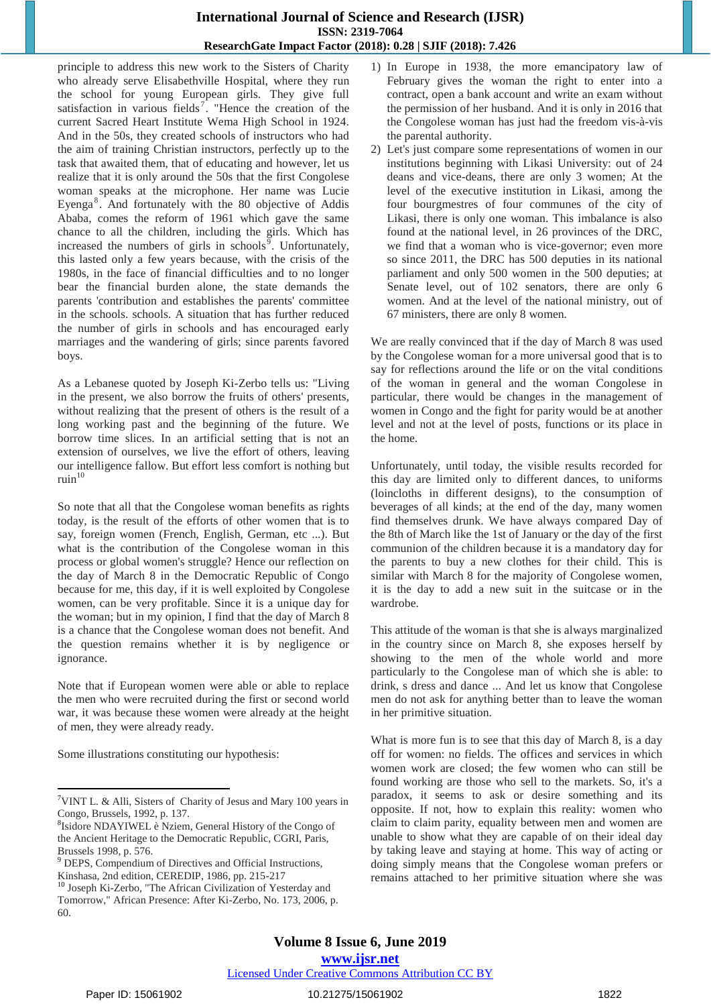principle to address this new work to the Sisters of Charity who already serve Elisabethville Hospital, where they run the school for young European girls. They give full satisfaction in various fields<sup>7</sup>. "Hence the creation of the current Sacred Heart Institute Wema High School in 1924. And in the 50s, they created schools of instructors who had the aim of training Christian instructors, perfectly up to the task that awaited them, that of educating and however, let us realize that it is only around the 50s that the first Congolese woman speaks at the microphone. Her name was Lucie Eyenga $8$ . And fortunately with the 80 objective of Addis Ababa, comes the reform of 1961 which gave the same chance to all the children, including the girls. Which has increased the numbers of girls in schools<sup> $\overline{9}$ </sup>. Unfortunately, this lasted only a few years because, with the crisis of the 1980s, in the face of financial difficulties and to no longer bear the financial burden alone, the state demands the parents 'contribution and establishes the parents' committee in the schools. schools. A situation that has further reduced the number of girls in schools and has encouraged early marriages and the wandering of girls; since parents favored boys.

As a Lebanese quoted by Joseph Ki-Zerbo tells us: "Living in the present, we also borrow the fruits of others' presents, without realizing that the present of others is the result of a long working past and the beginning of the future. We borrow time slices. In an artificial setting that is not an extension of ourselves, we live the effort of others, leaving our intelligence fallow. But effort less comfort is nothing but  $ruin<sup>10</sup>$ 

So note that all that the Congolese woman benefits as rights today, is the result of the efforts of other women that is to say, foreign women (French, English, German, etc ...). But what is the contribution of the Congolese woman in this process or global women's struggle? Hence our reflection on the day of March 8 in the Democratic Republic of Congo because for me, this day, if it is well exploited by Congolese women, can be very profitable. Since it is a unique day for the woman; but in my opinion, I find that the day of March 8 is a chance that the Congolese woman does not benefit. And the question remains whether it is by negligence or ignorance.

Note that if European women were able or able to replace the men who were recruited during the first or second world war, it was because these women were already at the height of men, they were already ready.

Some illustrations constituting our hypothesis:

- 1) In Europe in 1938, the more emancipatory law of February gives the woman the right to enter into a contract, open a bank account and write an exam without the permission of her husband. And it is only in 2016 that the Congolese woman has just had the freedom vis-à-vis the parental authority.
- 2) Let's just compare some representations of women in our institutions beginning with Likasi University: out of 24 deans and vice-deans, there are only 3 women; At the level of the executive institution in Likasi, among the four bourgmestres of four communes of the city of Likasi, there is only one woman. This imbalance is also found at the national level, in 26 provinces of the DRC, we find that a woman who is vice-governor; even more so since 2011, the DRC has 500 deputies in its national parliament and only 500 women in the 500 deputies; at Senate level, out of 102 senators, there are only 6 women. And at the level of the national ministry, out of 67 ministers, there are only 8 women.

We are really convinced that if the day of March 8 was used by the Congolese woman for a more universal good that is to say for reflections around the life or on the vital conditions of the woman in general and the woman Congolese in particular, there would be changes in the management of women in Congo and the fight for parity would be at another level and not at the level of posts, functions or its place in the home.

Unfortunately, until today, the visible results recorded for this day are limited only to different dances, to uniforms (loincloths in different designs), to the consumption of beverages of all kinds; at the end of the day, many women find themselves drunk. We have always compared Day of the 8th of March like the 1st of January or the day of the first communion of the children because it is a mandatory day for the parents to buy a new clothes for their child. This is similar with March 8 for the majority of Congolese women, it is the day to add a new suit in the suitcase or in the wardrobe.

This attitude of the woman is that she is always marginalized in the country since on March 8, she exposes herself by showing to the men of the whole world and more particularly to the Congolese man of which she is able: to drink, s dress and dance ... And let us know that Congolese men do not ask for anything better than to leave the woman in her primitive situation.

What is more fun is to see that this day of March 8, is a day off for women: no fields. The offices and services in which women work are closed; the few women who can still be found working are those who sell to the markets. So, it's a paradox, it seems to ask or desire something and its opposite. If not, how to explain this reality: women who claim to claim parity, equality between men and women are unable to show what they are capable of on their ideal day by taking leave and staying at home. This way of acting or doing simply means that the Congolese woman prefers or remains attached to her primitive situation where she was

## Licensed Under Creative Commons Attribution CC BY

 $\overline{a}$ 

<sup>&</sup>lt;sup>7</sup>VINT L. & Alli, Sisters of Charity of Jesus and Mary 100 years in Congo, Brussels, 1992, p. 137.

<sup>8</sup> Isidore NDAYIWEL è Nziem, General History of the Congo of the Ancient Heritage to the Democratic Republic, CGRI, Paris, Brussels 1998, p. 576.

<sup>9</sup> DEPS, Compendium of Directives and Official Instructions, Kinshasa, 2nd edition, CEREDIP, 1986, pp. 215-217

<sup>10</sup> Joseph Ki-Zerbo, "The African Civilization of Yesterday and Tomorrow," African Presence: After Ki-Zerbo, No. 173, 2006, p. 60.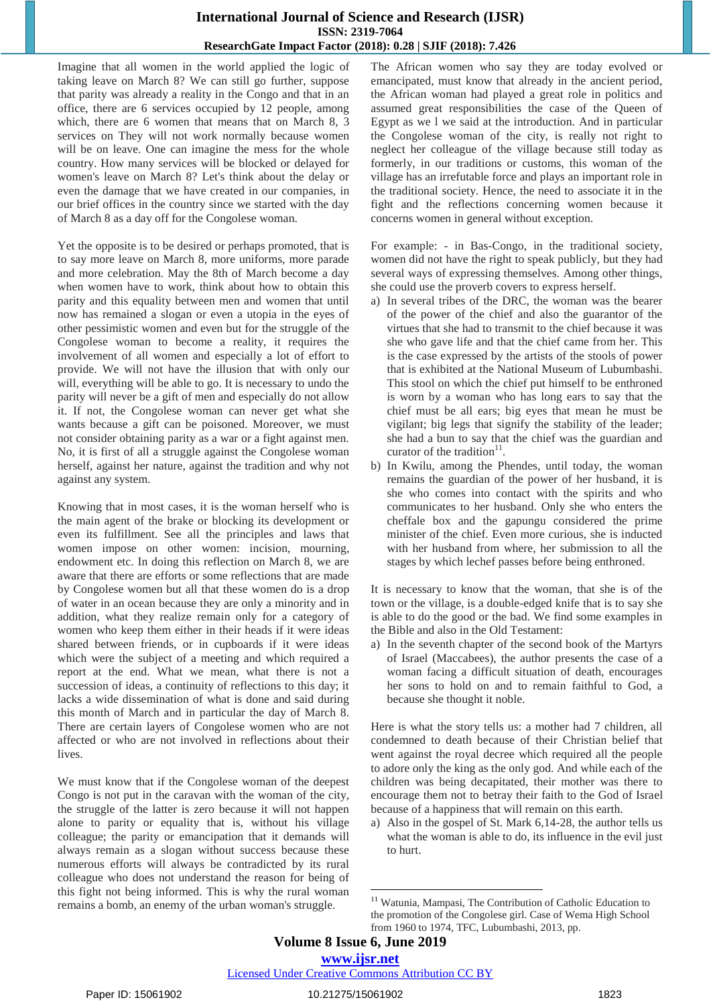Imagine that all women in the world applied the logic of taking leave on March 8? We can still go further, suppose that parity was already a reality in the Congo and that in an office, there are 6 services occupied by 12 people, among which, there are 6 women that means that on March 8, 3 services on They will not work normally because women will be on leave. One can imagine the mess for the whole country. How many services will be blocked or delayed for women's leave on March 8? Let's think about the delay or even the damage that we have created in our companies, in our brief offices in the country since we started with the day of March 8 as a day off for the Congolese woman.

Yet the opposite is to be desired or perhaps promoted, that is to say more leave on March 8, more uniforms, more parade and more celebration. May the 8th of March become a day when women have to work, think about how to obtain this parity and this equality between men and women that until now has remained a slogan or even a utopia in the eyes of other pessimistic women and even but for the struggle of the Congolese woman to become a reality, it requires the involvement of all women and especially a lot of effort to provide. We will not have the illusion that with only our will, everything will be able to go. It is necessary to undo the parity will never be a gift of men and especially do not allow it. If not, the Congolese woman can never get what she wants because a gift can be poisoned. Moreover, we must not consider obtaining parity as a war or a fight against men. No, it is first of all a struggle against the Congolese woman herself, against her nature, against the tradition and why not against any system.

Knowing that in most cases, it is the woman herself who is the main agent of the brake or blocking its development or even its fulfillment. See all the principles and laws that women impose on other women: incision, mourning, endowment etc. In doing this reflection on March 8, we are aware that there are efforts or some reflections that are made by Congolese women but all that these women do is a drop of water in an ocean because they are only a minority and in addition, what they realize remain only for a category of women who keep them either in their heads if it were ideas shared between friends, or in cupboards if it were ideas which were the subject of a meeting and which required a report at the end. What we mean, what there is not a succession of ideas, a continuity of reflections to this day; it lacks a wide dissemination of what is done and said during this month of March and in particular the day of March 8. There are certain layers of Congolese women who are not affected or who are not involved in reflections about their lives.

We must know that if the Congolese woman of the deepest Congo is not put in the caravan with the woman of the city, the struggle of the latter is zero because it will not happen alone to parity or equality that is, without his village colleague; the parity or emancipation that it demands will always remain as a slogan without success because these numerous efforts will always be contradicted by its rural colleague who does not understand the reason for being of this fight not being informed. This is why the rural woman remains a bomb, an enemy of the urban woman's struggle.

The African women who say they are today evolved or emancipated, must know that already in the ancient period, the African woman had played a great role in politics and assumed great responsibilities the case of the Queen of Egypt as we l we said at the introduction. And in particular the Congolese woman of the city, is really not right to neglect her colleague of the village because still today as formerly, in our traditions or customs, this woman of the village has an irrefutable force and plays an important role in the traditional society. Hence, the need to associate it in the fight and the reflections concerning women because it concerns women in general without exception.

For example: - in Bas-Congo, in the traditional society, women did not have the right to speak publicly, but they had several ways of expressing themselves. Among other things, she could use the proverb covers to express herself.

- a) In several tribes of the DRC, the woman was the bearer of the power of the chief and also the guarantor of the virtues that she had to transmit to the chief because it was she who gave life and that the chief came from her. This is the case expressed by the artists of the stools of power that is exhibited at the National Museum of Lubumbashi. This stool on which the chief put himself to be enthroned is worn by a woman who has long ears to say that the chief must be all ears; big eyes that mean he must be vigilant; big legs that signify the stability of the leader; she had a bun to say that the chief was the guardian and curator of the tradition<sup>11</sup>.
- b) In Kwilu, among the Phendes, until today, the woman remains the guardian of the power of her husband, it is she who comes into contact with the spirits and who communicates to her husband. Only she who enters the cheffale box and the gapungu considered the prime minister of the chief. Even more curious, she is inducted with her husband from where, her submission to all the stages by which lechef passes before being enthroned.

It is necessary to know that the woman, that she is of the town or the village, is a double-edged knife that is to say she is able to do the good or the bad. We find some examples in the Bible and also in the Old Testament:

a) In the seventh chapter of the second book of the Martyrs of Israel (Maccabees), the author presents the case of a woman facing a difficult situation of death, encourages her sons to hold on and to remain faithful to God, a because she thought it noble.

Here is what the story tells us: a mother had 7 children, all condemned to death because of their Christian belief that went against the royal decree which required all the people to adore only the king as the only god. And while each of the children was being decapitated, their mother was there to encourage them not to betray their faith to the God of Israel because of a happiness that will remain on this earth.

a) Also in the gospel of St. Mark 6,14-28, the author tells us what the woman is able to do, its influence in the evil just to hurt.

# Licensed Under Creative Commons Attribution CC BY

**<sup>.</sup>** <sup>11</sup> Watunia, Mampasi, The Contribution of Catholic Education to the promotion of the Congolese girl. Case of Wema High School from 1960 to 1974, TFC, Lubumbashi, 2013, pp.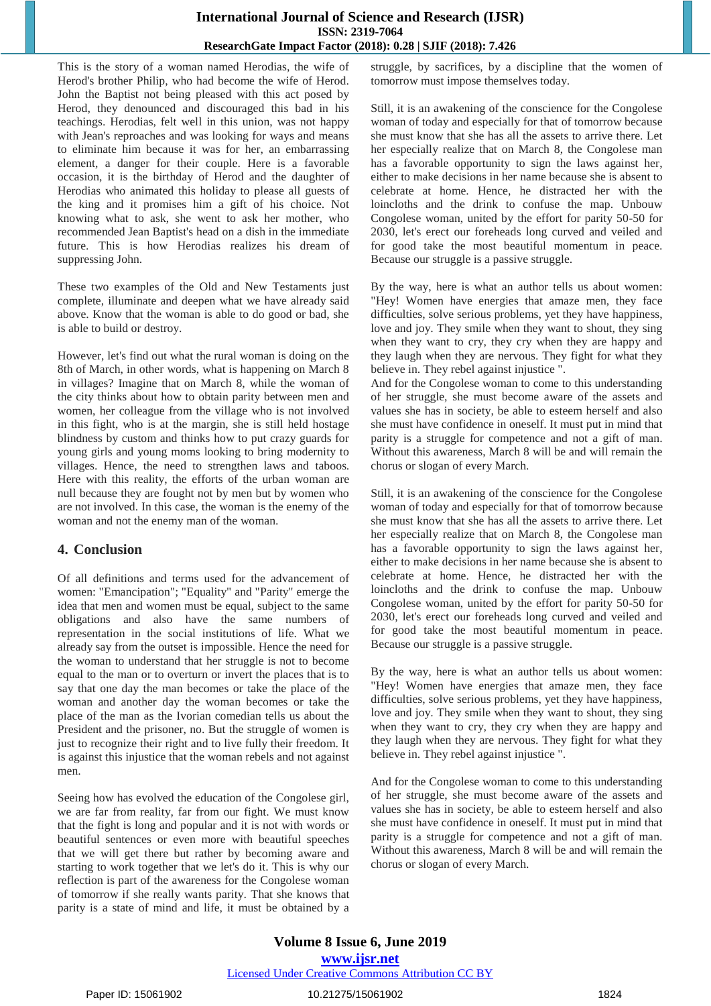This is the story of a woman named Herodias, the wife of Herod's brother Philip, who had become the wife of Herod. John the Baptist not being pleased with this act posed by Herod, they denounced and discouraged this bad in his teachings. Herodias, felt well in this union, was not happy with Jean's reproaches and was looking for ways and means to eliminate him because it was for her, an embarrassing element, a danger for their couple. Here is a favorable occasion, it is the birthday of Herod and the daughter of Herodias who animated this holiday to please all guests of the king and it promises him a gift of his choice. Not knowing what to ask, she went to ask her mother, who recommended Jean Baptist's head on a dish in the immediate future. This is how Herodias realizes his dream of suppressing John.

These two examples of the Old and New Testaments just complete, illuminate and deepen what we have already said above. Know that the woman is able to do good or bad, she is able to build or destroy.

However, let's find out what the rural woman is doing on the 8th of March, in other words, what is happening on March 8 in villages? Imagine that on March 8, while the woman of the city thinks about how to obtain parity between men and women, her colleague from the village who is not involved in this fight, who is at the margin, she is still held hostage blindness by custom and thinks how to put crazy guards for young girls and young moms looking to bring modernity to villages. Hence, the need to strengthen laws and taboos. Here with this reality, the efforts of the urban woman are null because they are fought not by men but by women who are not involved. In this case, the woman is the enemy of the woman and not the enemy man of the woman.

## **4. Conclusion**

Of all definitions and terms used for the advancement of women: "Emancipation"; "Equality" and "Parity" emerge the idea that men and women must be equal, subject to the same obligations and also have the same numbers of representation in the social institutions of life. What we already say from the outset is impossible. Hence the need for the woman to understand that her struggle is not to become equal to the man or to overturn or invert the places that is to say that one day the man becomes or take the place of the woman and another day the woman becomes or take the place of the man as the Ivorian comedian tells us about the President and the prisoner, no. But the struggle of women is just to recognize their right and to live fully their freedom. It is against this injustice that the woman rebels and not against men.

Seeing how has evolved the education of the Congolese girl, we are far from reality, far from our fight. We must know that the fight is long and popular and it is not with words or beautiful sentences or even more with beautiful speeches that we will get there but rather by becoming aware and starting to work together that we let's do it. This is why our reflection is part of the awareness for the Congolese woman of tomorrow if she really wants parity. That she knows that parity is a state of mind and life, it must be obtained by a

struggle, by sacrifices, by a discipline that the women of tomorrow must impose themselves today.

Still, it is an awakening of the conscience for the Congolese woman of today and especially for that of tomorrow because she must know that she has all the assets to arrive there. Let her especially realize that on March 8, the Congolese man has a favorable opportunity to sign the laws against her, either to make decisions in her name because she is absent to celebrate at home. Hence, he distracted her with the loincloths and the drink to confuse the map. Unbouw Congolese woman, united by the effort for parity 50-50 for 2030, let's erect our foreheads long curved and veiled and for good take the most beautiful momentum in peace. Because our struggle is a passive struggle.

By the way, here is what an author tells us about women: "Hey! Women have energies that amaze men, they face difficulties, solve serious problems, yet they have happiness, love and joy. They smile when they want to shout, they sing when they want to cry, they cry when they are happy and they laugh when they are nervous. They fight for what they believe in. They rebel against injustice ".

And for the Congolese woman to come to this understanding of her struggle, she must become aware of the assets and values she has in society, be able to esteem herself and also she must have confidence in oneself. It must put in mind that parity is a struggle for competence and not a gift of man. Without this awareness, March 8 will be and will remain the chorus or slogan of every March.

Still, it is an awakening of the conscience for the Congolese woman of today and especially for that of tomorrow because she must know that she has all the assets to arrive there. Let her especially realize that on March 8, the Congolese man has a favorable opportunity to sign the laws against her, either to make decisions in her name because she is absent to celebrate at home. Hence, he distracted her with the loincloths and the drink to confuse the map. Unbouw Congolese woman, united by the effort for parity 50-50 for 2030, let's erect our foreheads long curved and veiled and for good take the most beautiful momentum in peace. Because our struggle is a passive struggle.

By the way, here is what an author tells us about women: "Hey! Women have energies that amaze men, they face difficulties, solve serious problems, yet they have happiness, love and joy. They smile when they want to shout, they sing when they want to cry, they cry when they are happy and they laugh when they are nervous. They fight for what they believe in. They rebel against injustice ".

And for the Congolese woman to come to this understanding of her struggle, she must become aware of the assets and values she has in society, be able to esteem herself and also she must have confidence in oneself. It must put in mind that parity is a struggle for competence and not a gift of man. Without this awareness, March 8 will be and will remain the chorus or slogan of every March.